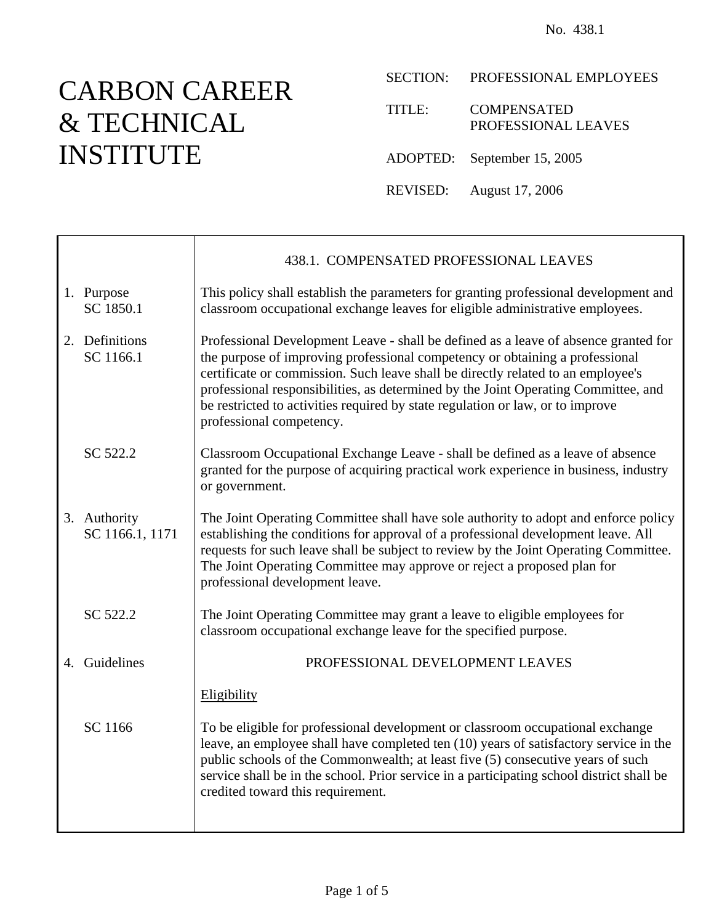# CARBON CAREER & TECHNICAL INSTITUTE

Ť

 $\Gamma$ 

SECTION: PROFESSIONAL EMPLOYEES

TITLE: COMPENSATED PROFESSIONAL LEAVES

ADOPTED: September 15, 2005

REVISED: August 17, 2006

|                                 | 438.1. COMPENSATED PROFESSIONAL LEAVES                                                                                                                                                                                                                                                                                                                                                                                                                      |
|---------------------------------|-------------------------------------------------------------------------------------------------------------------------------------------------------------------------------------------------------------------------------------------------------------------------------------------------------------------------------------------------------------------------------------------------------------------------------------------------------------|
| 1. Purpose<br>SC 1850.1         | This policy shall establish the parameters for granting professional development and<br>classroom occupational exchange leaves for eligible administrative employees.                                                                                                                                                                                                                                                                                       |
| 2. Definitions<br>SC 1166.1     | Professional Development Leave - shall be defined as a leave of absence granted for<br>the purpose of improving professional competency or obtaining a professional<br>certificate or commission. Such leave shall be directly related to an employee's<br>professional responsibilities, as determined by the Joint Operating Committee, and<br>be restricted to activities required by state regulation or law, or to improve<br>professional competency. |
| SC 522.2                        | Classroom Occupational Exchange Leave - shall be defined as a leave of absence<br>granted for the purpose of acquiring practical work experience in business, industry<br>or government.                                                                                                                                                                                                                                                                    |
| 3. Authority<br>SC 1166.1, 1171 | The Joint Operating Committee shall have sole authority to adopt and enforce policy<br>establishing the conditions for approval of a professional development leave. All<br>requests for such leave shall be subject to review by the Joint Operating Committee.<br>The Joint Operating Committee may approve or reject a proposed plan for<br>professional development leave.                                                                              |
| SC 522.2                        | The Joint Operating Committee may grant a leave to eligible employees for<br>classroom occupational exchange leave for the specified purpose.                                                                                                                                                                                                                                                                                                               |
| 4. Guidelines                   | PROFESSIONAL DEVELOPMENT LEAVES                                                                                                                                                                                                                                                                                                                                                                                                                             |
|                                 | Eligibility                                                                                                                                                                                                                                                                                                                                                                                                                                                 |
| SC 1166                         | To be eligible for professional development or classroom occupational exchange<br>leave, an employee shall have completed ten (10) years of satisfactory service in the<br>public schools of the Commonwealth; at least five (5) consecutive years of such<br>service shall be in the school. Prior service in a participating school district shall be<br>credited toward this requirement.                                                                |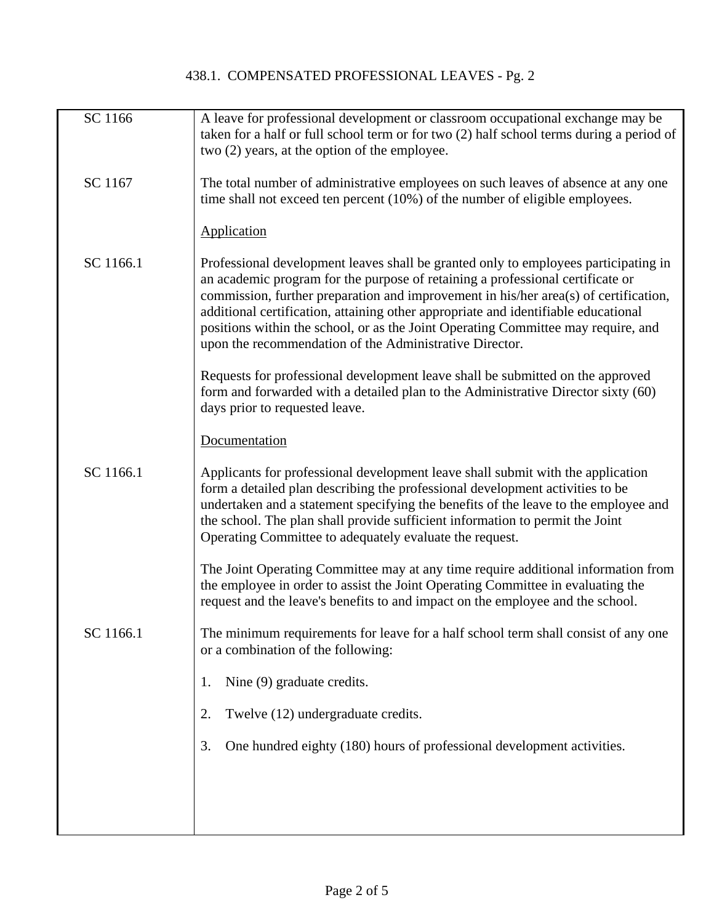| SC 1166   | A leave for professional development or classroom occupational exchange may be<br>taken for a half or full school term or for two (2) half school terms during a period of<br>two (2) years, at the option of the employee.                                                                                                                                                                                                                                                                         |
|-----------|-----------------------------------------------------------------------------------------------------------------------------------------------------------------------------------------------------------------------------------------------------------------------------------------------------------------------------------------------------------------------------------------------------------------------------------------------------------------------------------------------------|
| SC 1167   | The total number of administrative employees on such leaves of absence at any one<br>time shall not exceed ten percent (10%) of the number of eligible employees.                                                                                                                                                                                                                                                                                                                                   |
|           | Application                                                                                                                                                                                                                                                                                                                                                                                                                                                                                         |
| SC 1166.1 | Professional development leaves shall be granted only to employees participating in<br>an academic program for the purpose of retaining a professional certificate or<br>commission, further preparation and improvement in his/her area(s) of certification,<br>additional certification, attaining other appropriate and identifiable educational<br>positions within the school, or as the Joint Operating Committee may require, and<br>upon the recommendation of the Administrative Director. |
|           | Requests for professional development leave shall be submitted on the approved<br>form and forwarded with a detailed plan to the Administrative Director sixty (60)<br>days prior to requested leave.                                                                                                                                                                                                                                                                                               |
|           | Documentation                                                                                                                                                                                                                                                                                                                                                                                                                                                                                       |
| SC 1166.1 | Applicants for professional development leave shall submit with the application<br>form a detailed plan describing the professional development activities to be<br>undertaken and a statement specifying the benefits of the leave to the employee and<br>the school. The plan shall provide sufficient information to permit the Joint<br>Operating Committee to adequately evaluate the request.                                                                                                 |
|           | The Joint Operating Committee may at any time require additional information from<br>the employee in order to assist the Joint Operating Committee in evaluating the<br>request and the leave's benefits to and impact on the employee and the school.                                                                                                                                                                                                                                              |
| SC 1166.1 | The minimum requirements for leave for a half school term shall consist of any one<br>or a combination of the following:                                                                                                                                                                                                                                                                                                                                                                            |
|           | Nine (9) graduate credits.<br>1.                                                                                                                                                                                                                                                                                                                                                                                                                                                                    |
|           | Twelve (12) undergraduate credits.<br>2.                                                                                                                                                                                                                                                                                                                                                                                                                                                            |
|           | One hundred eighty (180) hours of professional development activities.<br>3.                                                                                                                                                                                                                                                                                                                                                                                                                        |
|           |                                                                                                                                                                                                                                                                                                                                                                                                                                                                                                     |
|           |                                                                                                                                                                                                                                                                                                                                                                                                                                                                                                     |
|           |                                                                                                                                                                                                                                                                                                                                                                                                                                                                                                     |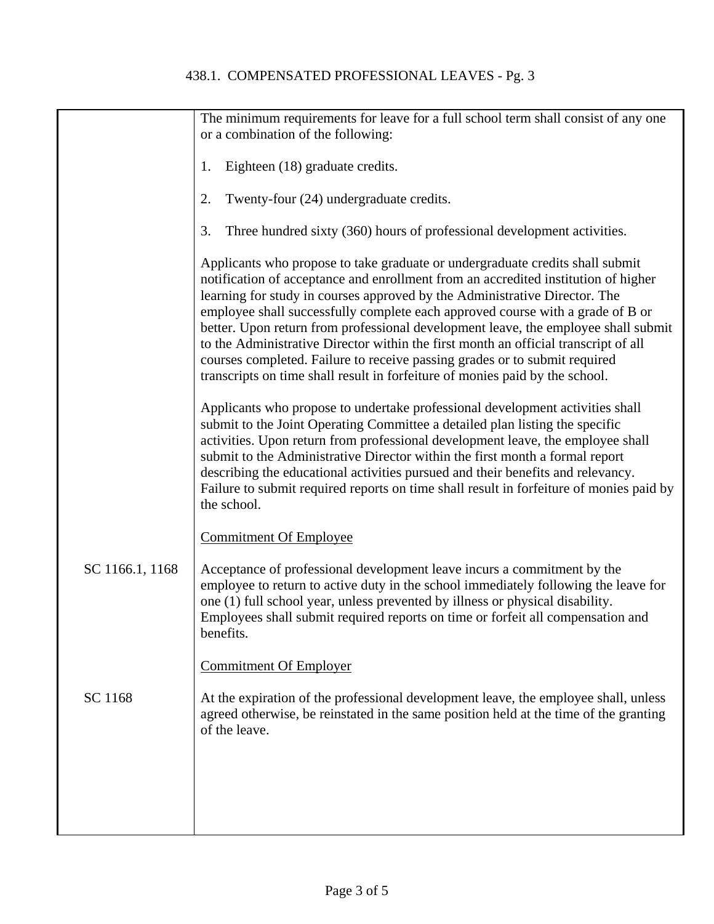|                 | The minimum requirements for leave for a full school term shall consist of any one<br>or a combination of the following:                                                                                                                                                                                                                                                                                                                                                                                                                                                                                                                                                       |
|-----------------|--------------------------------------------------------------------------------------------------------------------------------------------------------------------------------------------------------------------------------------------------------------------------------------------------------------------------------------------------------------------------------------------------------------------------------------------------------------------------------------------------------------------------------------------------------------------------------------------------------------------------------------------------------------------------------|
|                 | Eighteen (18) graduate credits.<br>1.                                                                                                                                                                                                                                                                                                                                                                                                                                                                                                                                                                                                                                          |
|                 | Twenty-four (24) undergraduate credits.<br>2.                                                                                                                                                                                                                                                                                                                                                                                                                                                                                                                                                                                                                                  |
|                 | Three hundred sixty (360) hours of professional development activities.<br>3.                                                                                                                                                                                                                                                                                                                                                                                                                                                                                                                                                                                                  |
|                 | Applicants who propose to take graduate or undergraduate credits shall submit<br>notification of acceptance and enrollment from an accredited institution of higher<br>learning for study in courses approved by the Administrative Director. The<br>employee shall successfully complete each approved course with a grade of B or<br>better. Upon return from professional development leave, the employee shall submit<br>to the Administrative Director within the first month an official transcript of all<br>courses completed. Failure to receive passing grades or to submit required<br>transcripts on time shall result in forfeiture of monies paid by the school. |
|                 | Applicants who propose to undertake professional development activities shall<br>submit to the Joint Operating Committee a detailed plan listing the specific<br>activities. Upon return from professional development leave, the employee shall<br>submit to the Administrative Director within the first month a formal report<br>describing the educational activities pursued and their benefits and relevancy.<br>Failure to submit required reports on time shall result in forfeiture of monies paid by<br>the school.                                                                                                                                                  |
|                 | <b>Commitment Of Employee</b>                                                                                                                                                                                                                                                                                                                                                                                                                                                                                                                                                                                                                                                  |
| SC 1166.1, 1168 | Acceptance of professional development leave incurs a commitment by the<br>employee to return to active duty in the school immediately following the leave for<br>one (1) full school year, unless prevented by illness or physical disability.<br>Employees shall submit required reports on time or forfeit all compensation and<br>benefits.                                                                                                                                                                                                                                                                                                                                |
|                 | <b>Commitment Of Employer</b>                                                                                                                                                                                                                                                                                                                                                                                                                                                                                                                                                                                                                                                  |
| SC 1168         | At the expiration of the professional development leave, the employee shall, unless<br>agreed otherwise, be reinstated in the same position held at the time of the granting<br>of the leave.                                                                                                                                                                                                                                                                                                                                                                                                                                                                                  |
|                 |                                                                                                                                                                                                                                                                                                                                                                                                                                                                                                                                                                                                                                                                                |
|                 |                                                                                                                                                                                                                                                                                                                                                                                                                                                                                                                                                                                                                                                                                |
|                 |                                                                                                                                                                                                                                                                                                                                                                                                                                                                                                                                                                                                                                                                                |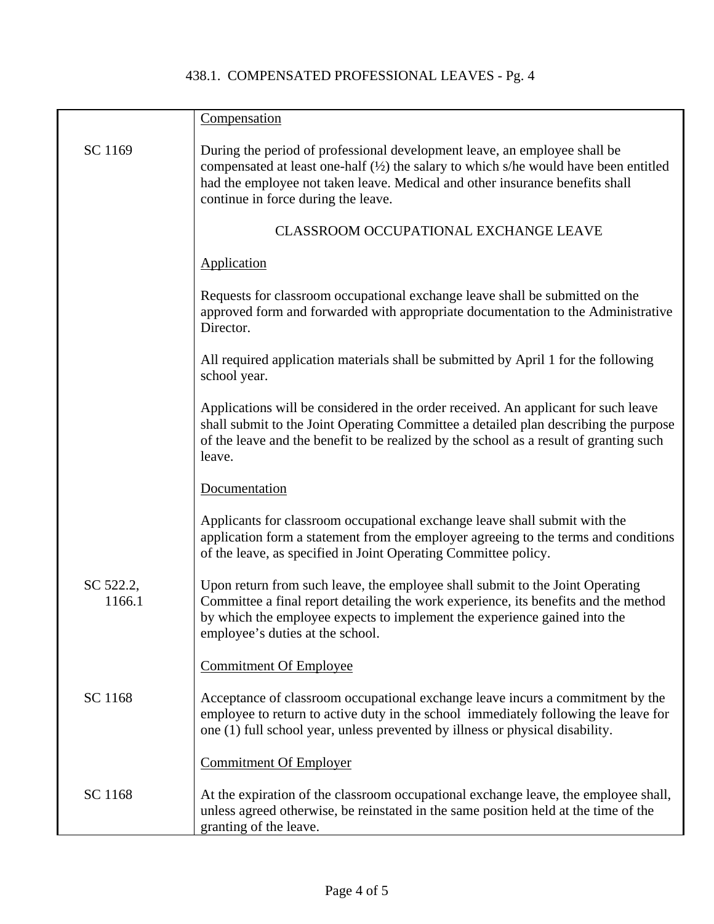|                     | Compensation                                                                                                                                                                                                                                                                                        |
|---------------------|-----------------------------------------------------------------------------------------------------------------------------------------------------------------------------------------------------------------------------------------------------------------------------------------------------|
| SC 1169             | During the period of professional development leave, an employee shall be<br>compensated at least one-half $(\frac{1}{2})$ the salary to which s/he would have been entitled<br>had the employee not taken leave. Medical and other insurance benefits shall<br>continue in force during the leave. |
|                     | <b>CLASSROOM OCCUPATIONAL EXCHANGE LEAVE</b>                                                                                                                                                                                                                                                        |
|                     | <b>Application</b>                                                                                                                                                                                                                                                                                  |
|                     | Requests for classroom occupational exchange leave shall be submitted on the<br>approved form and forwarded with appropriate documentation to the Administrative<br>Director.                                                                                                                       |
|                     | All required application materials shall be submitted by April 1 for the following<br>school year.                                                                                                                                                                                                  |
|                     | Applications will be considered in the order received. An applicant for such leave<br>shall submit to the Joint Operating Committee a detailed plan describing the purpose<br>of the leave and the benefit to be realized by the school as a result of granting such<br>leave.                      |
|                     | Documentation                                                                                                                                                                                                                                                                                       |
|                     | Applicants for classroom occupational exchange leave shall submit with the<br>application form a statement from the employer agreeing to the terms and conditions<br>of the leave, as specified in Joint Operating Committee policy.                                                                |
| SC 522.2,<br>1166.1 | Upon return from such leave, the employee shall submit to the Joint Operating<br>Committee a final report detailing the work experience, its benefits and the method<br>by which the employee expects to implement the experience gained into the<br>employee's duties at the school.               |
|                     | <b>Commitment Of Employee</b>                                                                                                                                                                                                                                                                       |
| SC 1168             | Acceptance of classroom occupational exchange leave incurs a commitment by the<br>employee to return to active duty in the school immediately following the leave for<br>one (1) full school year, unless prevented by illness or physical disability.                                              |
|                     | <b>Commitment Of Employer</b>                                                                                                                                                                                                                                                                       |
| SC 1168             | At the expiration of the classroom occupational exchange leave, the employee shall,<br>unless agreed otherwise, be reinstated in the same position held at the time of the<br>granting of the leave.                                                                                                |